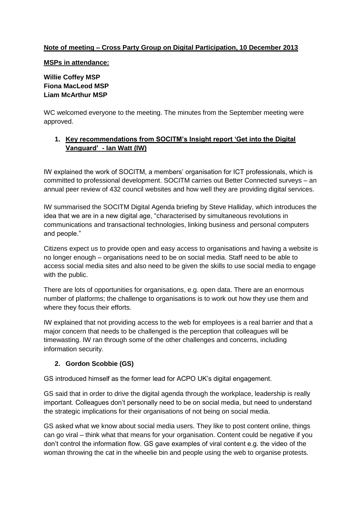## **Note of meeting – Cross Party Group on Digital Participation, 10 December 2013**

#### **MSPs in attendance:**

# **Willie Coffey MSP Fiona MacLeod MSP Liam McArthur MSP**

WC welcomed everyone to the meeting. The minutes from the September meeting were approved.

## **1. Key recommendations from SOCITM's Insight report 'Get into the Digital Vanguard' - Ian Watt (IW)**

IW explained the work of SOCITM, a members' organisation for ICT professionals, which is committed to professional development. SOCITM carries out Better Connected surveys – an annual peer review of 432 council websites and how well they are providing digital services.

IW summarised the SOCITM Digital Agenda briefing by Steve Halliday, which introduces the idea that we are in a new digital age, "characterised by simultaneous revolutions in communications and transactional technologies, linking business and personal computers and people."

Citizens expect us to provide open and easy access to organisations and having a website is no longer enough – organisations need to be on social media. Staff need to be able to access social media sites and also need to be given the skills to use social media to engage with the public.

There are lots of opportunities for organisations, e.g. open data. There are an enormous number of platforms; the challenge to organisations is to work out how they use them and where they focus their efforts.

IW explained that not providing access to the web for employees is a real barrier and that a major concern that needs to be challenged is the perception that colleagues will be timewasting. IW ran through some of the other challenges and concerns, including information security.

## **2. Gordon Scobbie (GS)**

GS introduced himself as the former lead for ACPO UK's digital engagement.

GS said that in order to drive the digital agenda through the workplace, leadership is really important. Colleagues don't personally need to be on social media, but need to understand the strategic implications for their organisations of not being on social media.

GS asked what we know about social media users. They like to post content online, things can go viral – think what that means for your organisation. Content could be negative if you don't control the information flow. GS gave examples of viral content e.g. the video of the woman throwing the cat in the wheelie bin and people using the web to organise protests.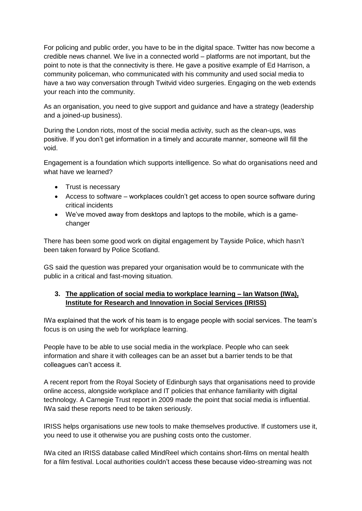For policing and public order, you have to be in the digital space. Twitter has now become a credible news channel. We live in a connected world – platforms are not important, but the point to note is that the connectivity is there. He gave a positive example of Ed Harrison, a community policeman, who communicated with his community and used social media to have a two way conversation through Twitvid video surgeries. Engaging on the web extends your reach into the community.

As an organisation, you need to give support and guidance and have a strategy (leadership and a joined-up business).

During the London riots, most of the social media activity, such as the clean-ups, was positive. If you don't get information in a timely and accurate manner, someone will fill the void.

Engagement is a foundation which supports intelligence. So what do organisations need and what have we learned?

- Trust is necessary
- Access to software workplaces couldn't get access to open source software during critical incidents
- We've moved away from desktops and laptops to the mobile, which is a gamechanger

There has been some good work on digital engagement by Tayside Police, which hasn't been taken forward by Police Scotland.

GS said the question was prepared your organisation would be to communicate with the public in a critical and fast-moving situation.

## **3. The application of social media to workplace learning – Ian Watson (IWa), Institute for Research and Innovation in Social Services (IRISS)**

IWa explained that the work of his team is to engage people with social services. The team's focus is on using the web for workplace learning.

People have to be able to use social media in the workplace. People who can seek information and share it with colleages can be an asset but a barrier tends to be that colleagues can't access it.

A recent report from the Royal Society of Edinburgh says that organisations need to provide online access, alongside workplace and IT policies that enhance familiarity with digital technology. A Carnegie Trust report in 2009 made the point that social media is influential. IWa said these reports need to be taken seriously.

IRISS helps organisations use new tools to make themselves productive. If customers use it, you need to use it otherwise you are pushing costs onto the customer.

IWa cited an IRISS database called MindReel which contains short-films on mental health for a film festival. Local authorities couldn't access these because video-streaming was not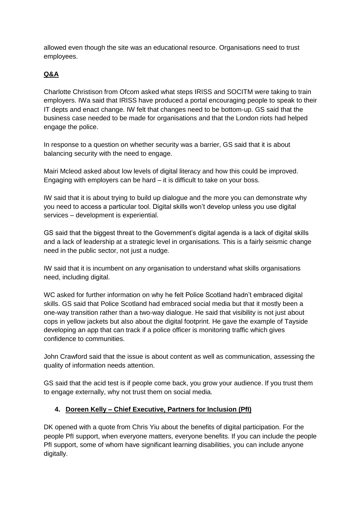allowed even though the site was an educational resource. Organisations need to trust employees.

# **Q&A**

Charlotte Christison from Ofcom asked what steps IRISS and SOCITM were taking to train employers. IWa said that IRISS have produced a portal encouraging people to speak to their IT depts and enact change. IW felt that changes need to be bottom-up. GS said that the business case needed to be made for organisations and that the London riots had helped engage the police.

In response to a question on whether security was a barrier, GS said that it is about balancing security with the need to engage.

Mairi Mcleod asked about low levels of digital literacy and how this could be improved. Engaging with employers can be hard – it is difficult to take on your boss.

IW said that it is about trying to build up dialogue and the more you can demonstrate why you need to access a particular tool. Digital skills won't develop unless you use digital services – development is experiential.

GS said that the biggest threat to the Government's digital agenda is a lack of digital skills and a lack of leadership at a strategic level in organisations. This is a fairly seismic change need in the public sector, not just a nudge.

IW said that it is incumbent on any organisation to understand what skills organisations need, including digital.

WC asked for further information on why he felt Police Scotland hadn't embraced digital skills. GS said that Police Scotland had embraced social media but that it mostly been a one-way transition rather than a two-way dialogue. He said that visibility is not just about cops in yellow jackets but also about the digital footprint. He gave the example of Tayside developing an app that can track if a police officer is monitoring traffic which gives confidence to communities.

John Crawford said that the issue is about content as well as communication, assessing the quality of information needs attention.

GS said that the acid test is if people come back, you grow your audience. If you trust them to engage externally, why not trust them on social media.

# **4. Doreen Kelly – Chief Executive, Partners for Inclusion (PfI)**

DK opened with a quote from Chris Yiu about the benefits of digital participation. For the people PfI support, when everyone matters, everyone benefits. If you can include the people PfI support, some of whom have significant learning disabilities, you can include anyone digitally.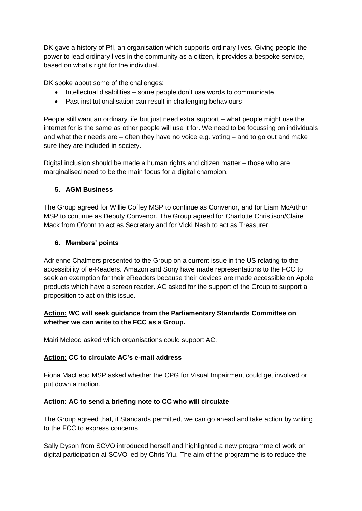DK gave a history of PfI, an organisation which supports ordinary lives. Giving people the power to lead ordinary lives in the community as a citizen, it provides a bespoke service, based on what's right for the individual.

DK spoke about some of the challenges:

- Intellectual disabilities some people don't use words to communicate
- Past institutionalisation can result in challenging behaviours

People still want an ordinary life but just need extra support – what people might use the internet for is the same as other people will use it for. We need to be focussing on individuals and what their needs are  $-$  often they have no voice e.g. voting  $-$  and to go out and make sure they are included in society.

Digital inclusion should be made a human rights and citizen matter – those who are marginalised need to be the main focus for a digital champion.

### **5. AGM Business**

The Group agreed for Willie Coffey MSP to continue as Convenor, and for Liam McArthur MSP to continue as Deputy Convenor. The Group agreed for Charlotte Christison/Claire Mack from Ofcom to act as Secretary and for Vicki Nash to act as Treasurer.

### **6. Members' points**

Adrienne Chalmers presented to the Group on a current issue in the US relating to the accessibility of e-Readers. Amazon and Sony have made representations to the FCC to seek an exemption for their eReaders because their devices are made accessible on Apple products which have a screen reader. AC asked for the support of the Group to support a proposition to act on this issue.

## **Action: WC will seek guidance from the Parliamentary Standards Committee on whether we can write to the FCC as a Group.**

Mairi Mcleod asked which organisations could support AC.

#### **Action: CC to circulate AC's e-mail address**

Fiona MacLeod MSP asked whether the CPG for Visual Impairment could get involved or put down a motion.

#### **Action: AC to send a briefing note to CC who will circulate**

The Group agreed that, if Standards permitted, we can go ahead and take action by writing to the FCC to express concerns.

Sally Dyson from SCVO introduced herself and highlighted a new programme of work on digital participation at SCVO led by Chris Yiu. The aim of the programme is to reduce the